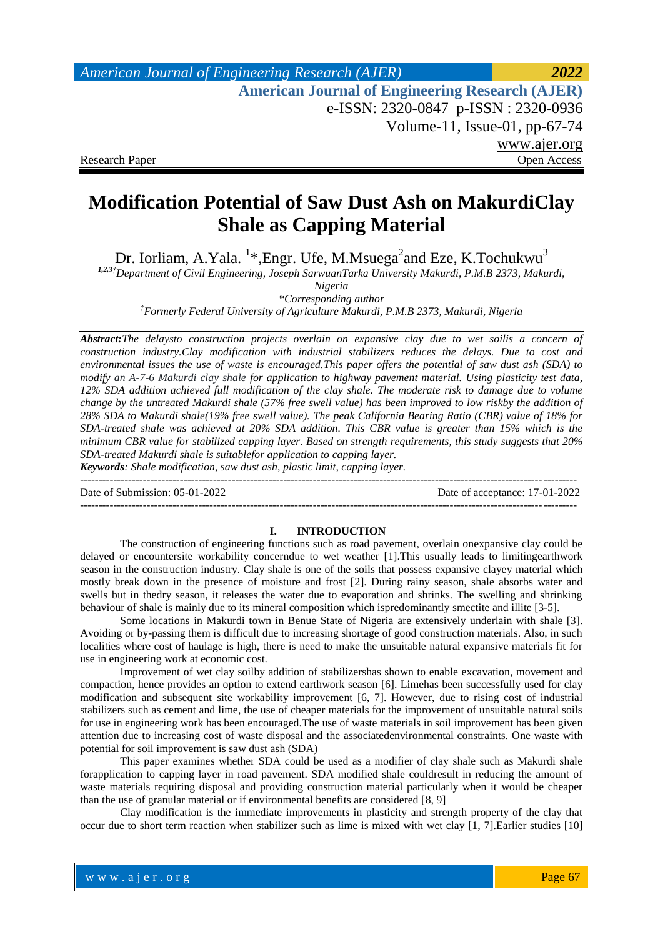# *American Journal of Engineering Research (AJER) 2022*  **American Journal of Engineering Research (AJER)** e-ISSN: 2320-0847 p-ISSN : 2320-0936 Volume-11, Issue-01, pp-67-74 www.ajer.org Research Paper **Open Access** Open Access **Open Access**

# **Modification Potential of Saw Dust Ash on MakurdiClay Shale as Capping Material**

Dr. Iorliam, A.Yala. <sup>1</sup>\*,Engr. Ufe, M.Msuega<sup>2</sup>and Eze, K.Tochukwu<sup>3</sup>

*1,2,3†Department of Civil Engineering, Joseph SarwuanTarka University Makurdi, P.M.B 2373, Makurdi,* 

*Nigeria*

*\*Corresponding author †Formerly Federal University of Agriculture Makurdi, P.M.B 2373, Makurdi, Nigeria*

*Abstract:The delaysto construction projects overlain on expansive clay due to wet soilis a concern of construction industry.Clay modification with industrial stabilizers reduces the delays. Due to cost and environmental issues the use of waste is encouraged.This paper offers the potential of saw dust ash (SDA) to modify an A-7-6 Makurdi clay shale for application to highway pavement material. Using plasticity test data, 12% SDA addition achieved full modification of the clay shale. The moderate risk to damage due to volume change by the untreated Makurdi shale (57% free swell value) has been improved to low riskby the addition of 28% SDA to Makurdi shale(19% free swell value). The peak California Bearing Ratio (CBR) value of 18% for SDA-treated shale was achieved at 20% SDA addition. This CBR value is greater than 15% which is the minimum CBR value for stabilized capping layer. Based on strength requirements, this study suggests that 20% SDA-treated Makurdi shale is suitablefor application to capping layer.*

*Keywords: Shale modification, saw dust ash, plastic limit, capping layer.*  $-1.1$ 

Date of Submission: 05-01-2022 Date of acceptance: 17-01-2022

### --------------------------------------------------------------------------------------------------------------------------------------

### **I. INTRODUCTION**

The construction of engineering functions such as road pavement, overlain onexpansive clay could be delayed or encountersite workability concerndue to wet weather [1].This usually leads to limitingearthwork season in the construction industry. Clay shale is one of the soils that possess expansive clayey material which mostly break down in the presence of moisture and frost [2]. During rainy season, shale absorbs water and swells but in thedry season, it releases the water due to evaporation and shrinks. The swelling and shrinking behaviour of shale is mainly due to its mineral composition which ispredominantly smectite and illite [3-5].

Some locations in Makurdi town in Benue State of Nigeria are extensively underlain with shale [3]. Avoiding or by-passing them is difficult due to increasing shortage of good construction materials. Also, in such localities where cost of haulage is high, there is need to make the unsuitable natural expansive materials fit for use in engineering work at economic cost.

Improvement of wet clay soilby addition of stabilizershas shown to enable excavation, movement and compaction, hence provides an option to extend earthwork season [6]. Limehas been successfully used for clay modification and subsequent site workability improvement [6, 7]. However, due to rising cost of industrial stabilizers such as cement and lime, the use of cheaper materials for the improvement of unsuitable natural soils for use in engineering work has been encouraged.The use of waste materials in soil improvement has been given attention due to increasing cost of waste disposal and the associatedenvironmental constraints. One waste with potential for soil improvement is saw dust ash (SDA)

This paper examines whether SDA could be used as a modifier of clay shale such as Makurdi shale forapplication to capping layer in road pavement. SDA modified shale couldresult in reducing the amount of waste materials requiring disposal and providing construction material particularly when it would be cheaper than the use of granular material or if environmental benefits are considered [8, 9]

Clay modification is the immediate improvements in plasticity and strength property of the clay that occur due to short term reaction when stabilizer such as lime is mixed with wet clay [1, 7].Earlier studies [10]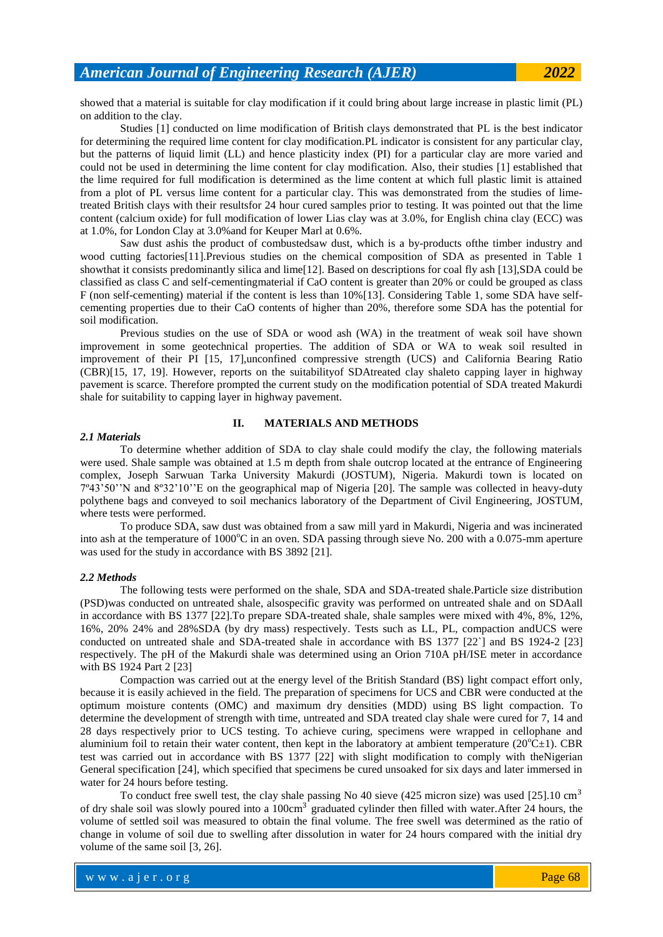showed that a material is suitable for clay modification if it could bring about large increase in plastic limit (PL) on addition to the clay.

Studies [1] conducted on lime modification of British clays demonstrated that PL is the best indicator for determining the required lime content for clay modification.PL indicator is consistent for any particular clay, but the patterns of liquid limit (LL) and hence plasticity index (PI) for a particular clay are more varied and could not be used in determining the lime content for clay modification. Also, their studies [1] established that the lime required for full modification is determined as the lime content at which full plastic limit is attained from a plot of PL versus lime content for a particular clay. This was demonstrated from the studies of limetreated British clays with their resultsfor 24 hour cured samples prior to testing. It was pointed out that the lime content (calcium oxide) for full modification of lower Lias clay was at 3.0%, for English china clay (ECC) was at 1.0%, for London Clay at 3.0%and for Keuper Marl at 0.6%.

Saw dust ashis the product of combustedsaw dust, which is a by-products ofthe timber industry and wood cutting factories[11].Previous studies on the chemical composition of SDA as presented in Table 1 showthat it consists predominantly silica and lime[12]. Based on descriptions for coal fly ash [13],SDA could be classified as class C and self-cementingmaterial if CaO content is greater than 20% or could be grouped as class F (non self-cementing) material if the content is less than 10%[13]. Considering Table 1, some SDA have selfcementing properties due to their CaO contents of higher than 20%, therefore some SDA has the potential for soil modification.

Previous studies on the use of SDA or wood ash (WA) in the treatment of weak soil have shown improvement in some geotechnical properties. The addition of SDA or WA to weak soil resulted in improvement of their PI [15, 17],unconfined compressive strength (UCS) and California Bearing Ratio (CBR)[15, 17, 19]. However, reports on the suitabilityof SDAtreated clay shaleto capping layer in highway pavement is scarce. Therefore prompted the current study on the modification potential of SDA treated Makurdi shale for suitability to capping layer in highway pavement.

### **II. MATERIALS AND METHODS**

#### *2.1 Materials*

To determine whether addition of SDA to clay shale could modify the clay, the following materials were used. Shale sample was obtained at 1.5 m depth from shale outcrop located at the entrance of Engineering complex, Joseph Sarwuan Tarka University Makurdi (JOSTUM), Nigeria. Makurdi town is located on 7º43'50''N and 8º32'10''E on the geographical map of Nigeria [20]. The sample was collected in heavy-duty polythene bags and conveyed to soil mechanics laboratory of the Department of Civil Engineering, JOSTUM, where tests were performed.

To produce SDA, saw dust was obtained from a saw mill yard in Makurdi, Nigeria and was incinerated into ash at the temperature of 1000°C in an oven. SDA passing through sieve No. 200 with a 0.075-mm aperture was used for the study in accordance with BS 3892 [21].

### *2.2 Methods*

The following tests were performed on the shale, SDA and SDA-treated shale.Particle size distribution (PSD)was conducted on untreated shale, alsospecific gravity was performed on untreated shale and on SDAall in accordance with BS 1377 [22].To prepare SDA-treated shale, shale samples were mixed with 4%, 8%, 12%, 16%, 20% 24% and 28%SDA (by dry mass) respectively. Tests such as LL, PL, compaction andUCS were conducted on untreated shale and SDA-treated shale in accordance with BS 1377 [22`] and BS 1924-2 [23] respectively. The pH of the Makurdi shale was determined using an Orion 710A pH/ISE meter in accordance with BS 1924 Part 2 [23]

Compaction was carried out at the energy level of the British Standard (BS) light compact effort only, because it is easily achieved in the field. The preparation of specimens for UCS and CBR were conducted at the optimum moisture contents (OMC) and maximum dry densities (MDD) using BS light compaction. To determine the development of strength with time, untreated and SDA treated clay shale were cured for 7, 14 and 28 days respectively prior to UCS testing. To achieve curing, specimens were wrapped in cellophane and aluminium foil to retain their water content, then kept in the laboratory at ambient temperature  $(20^{\circ}\text{C} \pm 1)$ . CBR test was carried out in accordance with BS 1377 [22] with slight modification to comply with theNigerian General specification [24], which specified that specimens be cured unsoaked for six days and later immersed in water for 24 hours before testing.

To conduct free swell test, the clay shale passing No 40 sieve (425 micron size) was used  $[25]$ .10 cm<sup>3</sup> of dry shale soil was slowly poured into a 100cm<sup>3</sup> graduated cylinder then filled with water.After 24 hours, the volume of settled soil was measured to obtain the final volume. The free swell was determined as the ratio of change in volume of soil due to swelling after dissolution in water for 24 hours compared with the initial dry volume of the same soil [3, 26].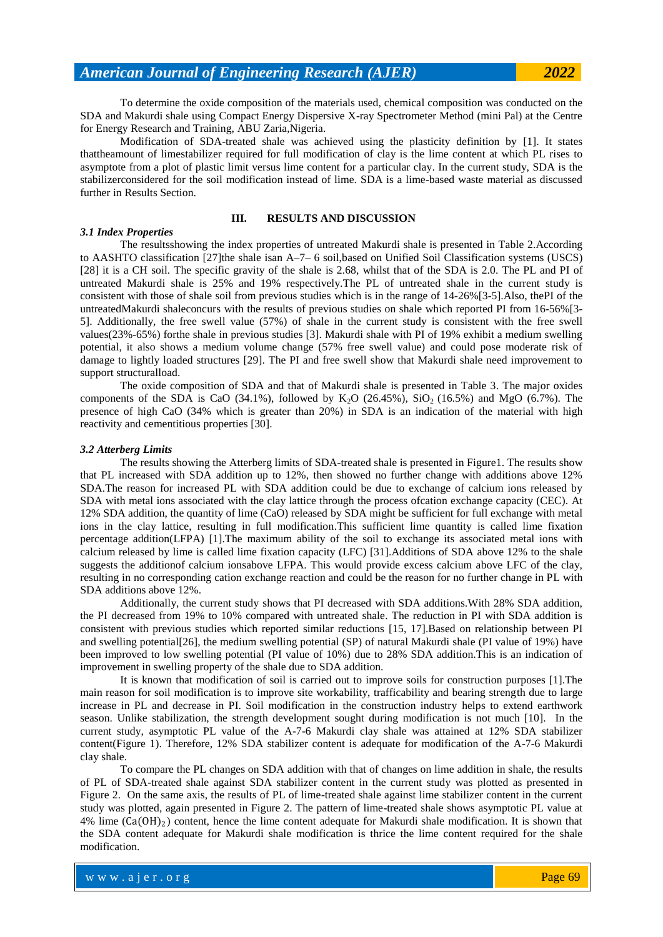To determine the oxide composition of the materials used, chemical composition was conducted on the SDA and Makurdi shale using Compact Energy Dispersive X-ray Spectrometer Method (mini Pal) at the Centre for Energy Research and Training, ABU Zaria,Nigeria.

Modification of SDA-treated shale was achieved using the plasticity definition by [1]. It states thattheamount of limestabilizer required for full modification of clay is the lime content at which PL rises to asymptote from a plot of plastic limit versus lime content for a particular clay. In the current study, SDA is the stabilizerconsidered for the soil modification instead of lime. SDA is a lime-based waste material as discussed further in Results Section.

### **III. RESULTS AND DISCUSSION**

### *3.1 Index Properties*

The resultsshowing the index properties of untreated Makurdi shale is presented in Table 2.According to AASHTO classification [27]the shale isan A–7– 6 soil,based on Unified Soil Classification systems (USCS) [28] it is a CH soil. The specific gravity of the shale is 2.68, whilst that of the SDA is 2.0. The PL and PI of untreated Makurdi shale is 25% and 19% respectively.The PL of untreated shale in the current study is consistent with those of shale soil from previous studies which is in the range of 14-26%[3-5].Also, thePI of the untreatedMakurdi shaleconcurs with the results of previous studies on shale which reported PI from 16-56%[3- 5]. Additionally, the free swell value (57%) of shale in the current study is consistent with the free swell values(23%-65%) forthe shale in previous studies [3]. Makurdi shale with PI of 19% exhibit a medium swelling potential, it also shows a medium volume change (57% free swell value) and could pose moderate risk of damage to lightly loaded structures [29]. The PI and free swell show that Makurdi shale need improvement to support structuralload.

The oxide composition of SDA and that of Makurdi shale is presented in Table 3. The major oxides components of the SDA is CaO (34.1%), followed by K<sub>2</sub>O (26.45%), SiO<sub>2</sub> (16.5%) and MgO (6.7%). The presence of high CaO (34% which is greater than 20%) in SDA is an indication of the material with high reactivity and cementitious properties [30].

### *3.2 Atterberg Limits*

The results showing the Atterberg limits of SDA-treated shale is presented in Figure1. The results show that PL increased with SDA addition up to 12%, then showed no further change with additions above 12% SDA.The reason for increased PL with SDA addition could be due to exchange of calcium ions released by SDA with metal ions associated with the clay lattice through the process ofcation exchange capacity (CEC). At 12% SDA addition, the quantity of lime (CaO) released by SDA might be sufficient for full exchange with metal ions in the clay lattice, resulting in full modification.This sufficient lime quantity is called lime fixation percentage addition(LFPA) [1].The maximum ability of the soil to exchange its associated metal ions with calcium released by lime is called lime fixation capacity (LFC) [31].Additions of SDA above 12% to the shale suggests the additionof calcium ionsabove LFPA. This would provide excess calcium above LFC of the clay, resulting in no corresponding cation exchange reaction and could be the reason for no further change in PL with SDA additions above 12%.

Additionally, the current study shows that PI decreased with SDA additions.With 28% SDA addition, the PI decreased from 19% to 10% compared with untreated shale. The reduction in PI with SDA addition is consistent with previous studies which reported similar reductions [15, 17].Based on relationship between PI and swelling potential[26], the medium swelling potential (SP) of natural Makurdi shale (PI value of 19%) have been improved to low swelling potential (PI value of 10%) due to 28% SDA addition.This is an indication of improvement in swelling property of the shale due to SDA addition.

It is known that modification of soil is carried out to improve soils for construction purposes [1].The main reason for soil modification is to improve site workability, trafficability and bearing strength due to large increase in PL and decrease in PI. Soil modification in the construction industry helps to extend earthwork season. Unlike stabilization, the strength development sought during modification is not much [10]. In the current study, asymptotic PL value of the A-7-6 Makurdi clay shale was attained at 12% SDA stabilizer content(Figure 1). Therefore, 12% SDA stabilizer content is adequate for modification of the A-7-6 Makurdi clay shale.

To compare the PL changes on SDA addition with that of changes on lime addition in shale, the results of PL of SDA-treated shale against SDA stabilizer content in the current study was plotted as presented in Figure 2. On the same axis, the results of PL of lime-treated shale against lime stabilizer content in the current study was plotted, again presented in Figure 2. The pattern of lime-treated shale shows asymptotic PL value at  $4\%$  lime  $(Ca(OH)_2)$  content, hence the lime content adequate for Makurdi shale modification. It is shown that the SDA content adequate for Makurdi shale modification is thrice the lime content required for the shale modification.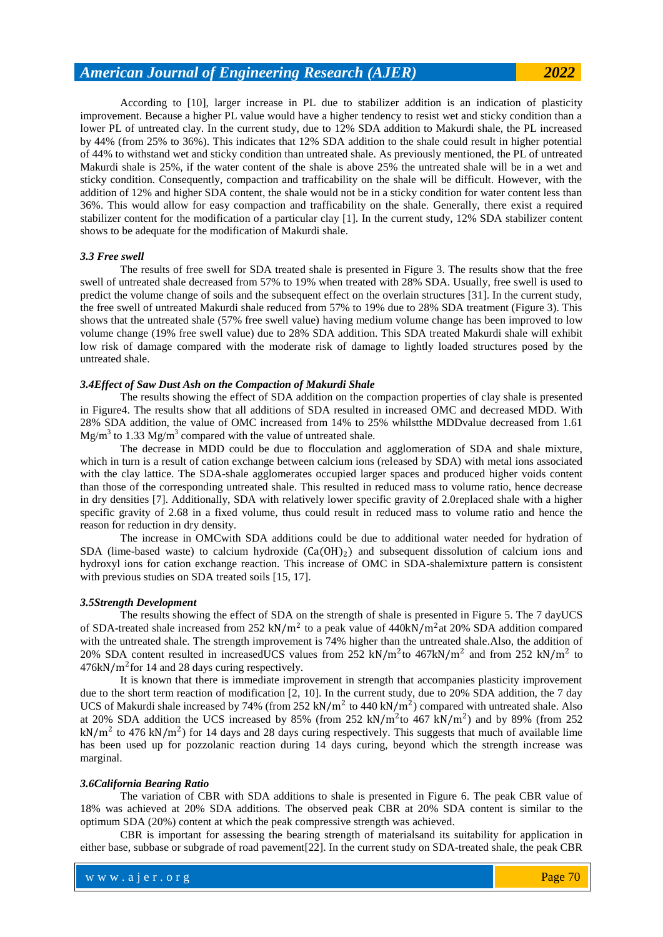### *American Journal of Engineering Research (AJER) 2022*

According to [10], larger increase in PL due to stabilizer addition is an indication of plasticity improvement. Because a higher PL value would have a higher tendency to resist wet and sticky condition than a lower PL of untreated clay. In the current study, due to 12% SDA addition to Makurdi shale, the PL increased by 44% (from 25% to 36%). This indicates that 12% SDA addition to the shale could result in higher potential of 44% to withstand wet and sticky condition than untreated shale. As previously mentioned, the PL of untreated Makurdi shale is 25%, if the water content of the shale is above 25% the untreated shale will be in a wet and sticky condition. Consequently, compaction and trafficability on the shale will be difficult. However, with the addition of 12% and higher SDA content, the shale would not be in a sticky condition for water content less than 36%. This would allow for easy compaction and trafficability on the shale. Generally, there exist a required stabilizer content for the modification of a particular clay [1]. In the current study, 12% SDA stabilizer content shows to be adequate for the modification of Makurdi shale.

### *3.3 Free swell*

The results of free swell for SDA treated shale is presented in Figure 3. The results show that the free swell of untreated shale decreased from 57% to 19% when treated with 28% SDA. Usually, free swell is used to predict the volume change of soils and the subsequent effect on the overlain structures [31]. In the current study, the free swell of untreated Makurdi shale reduced from 57% to 19% due to 28% SDA treatment (Figure 3). This shows that the untreated shale (57% free swell value) having medium volume change has been improved to low volume change (19% free swell value) due to 28% SDA addition. This SDA treated Makurdi shale will exhibit low risk of damage compared with the moderate risk of damage to lightly loaded structures posed by the untreated shale.

### *3.4Effect of Saw Dust Ash on the Compaction of Makurdi Shale*

The results showing the effect of SDA addition on the compaction properties of clay shale is presented in Figure4. The results show that all additions of SDA resulted in increased OMC and decreased MDD. With 28% SDA addition, the value of OMC increased from 14% to 25% whilstthe MDDvalue decreased from 1.61  $Mg/m<sup>3</sup>$  to 1.33 Mg/m<sup>3</sup> compared with the value of untreated shale.

The decrease in MDD could be due to flocculation and agglomeration of SDA and shale mixture, which in turn is a result of cation exchange between calcium ions (released by SDA) with metal ions associated with the clay lattice. The SDA-shale agglomerates occupied larger spaces and produced higher voids content than those of the corresponding untreated shale. This resulted in reduced mass to volume ratio, hence decrease in dry densities [7]. Additionally, SDA with relatively lower specific gravity of 2.0replaced shale with a higher specific gravity of 2.68 in a fixed volume, thus could result in reduced mass to volume ratio and hence the reason for reduction in dry density.

The increase in OMCwith SDA additions could be due to additional water needed for hydration of SDA (lime-based waste) to calcium hydroxide  $(Ca(OH)_2)$  and subsequent dissolution of calcium ions and hydroxyl ions for cation exchange reaction. This increase of OMC in SDA-shalemixture pattern is consistent with previous studies on SDA treated soils [15, 17].

### *3.5Strength Development*

The results showing the effect of SDA on the strength of shale is presented in Figure 5. The 7 dayUCS of SDA-treated shale increased from 252 kN/m<sup>2</sup> to a peak value of  $440kN/m^2$ at 20% SDA addition compared with the untreated shale. The strength improvement is 74% higher than the untreated shale. Also, the addition of 20% SDA content resulted in increasedUCS values from 252 kN/m<sup>2</sup> to 467kN/m<sup>2</sup> and from 252 kN/m<sup>2</sup> to  $476kN/m<sup>2</sup>$  for 14 and 28 days curing respectively.

It is known that there is immediate improvement in strength that accompanies plasticity improvement due to the short term reaction of modification [2, 10]. In the current study, due to 20% SDA addition, the 7 day UCS of Makurdi shale increased by 74% (from 252 kN/m<sup>2</sup> to 440 kN/m<sup>2</sup>) compared with untreated shale. Also at 20% SDA addition the UCS increased by 85% (from 252 kN/m<sup>2</sup>to 467 kN/m<sup>2</sup>) and by 89% (from 252  $kN/m<sup>2</sup>$  to 476 kN/m<sup>2</sup>) for 14 days and 28 days curing respectively. This suggests that much of available lime has been used up for pozzolanic reaction during 14 days curing, beyond which the strength increase was marginal.

### *3.6California Bearing Ratio*

The variation of CBR with SDA additions to shale is presented in Figure 6. The peak CBR value of 18% was achieved at 20% SDA additions. The observed peak CBR at 20% SDA content is similar to the optimum SDA (20%) content at which the peak compressive strength was achieved.

CBR is important for assessing the bearing strength of materialsand its suitability for application in either base, subbase or subgrade of road pavement[22]. In the current study on SDA-treated shale, the peak CBR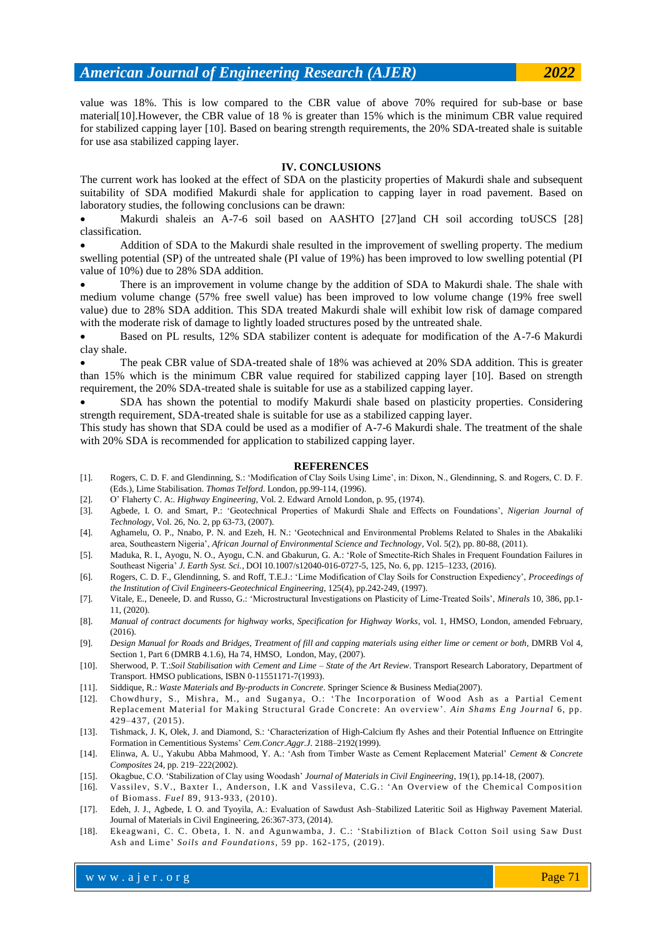value was 18%. This is low compared to the CBR value of above 70% required for sub-base or base material[10].However, the CBR value of 18 % is greater than 15% which is the minimum CBR value required for stabilized capping layer [10]. Based on bearing strength requirements, the 20% SDA-treated shale is suitable for use asa stabilized capping layer.

### **IV. CONCLUSIONS**

The current work has looked at the effect of SDA on the plasticity properties of Makurdi shale and subsequent suitability of SDA modified Makurdi shale for application to capping layer in road pavement. Based on laboratory studies, the following conclusions can be drawn:

 Makurdi shaleis an A-7-6 soil based on AASHTO [27]and CH soil according toUSCS [28] classification.

 Addition of SDA to the Makurdi shale resulted in the improvement of swelling property. The medium swelling potential (SP) of the untreated shale (PI value of 19%) has been improved to low swelling potential (PI value of 10%) due to 28% SDA addition.

 There is an improvement in volume change by the addition of SDA to Makurdi shale. The shale with medium volume change (57% free swell value) has been improved to low volume change (19% free swell value) due to 28% SDA addition. This SDA treated Makurdi shale will exhibit low risk of damage compared with the moderate risk of damage to lightly loaded structures posed by the untreated shale.

 Based on PL results, 12% SDA stabilizer content is adequate for modification of the A-7-6 Makurdi clay shale.

 The peak CBR value of SDA-treated shale of 18% was achieved at 20% SDA addition. This is greater than 15% which is the minimum CBR value required for stabilized capping layer [10]. Based on strength requirement, the 20% SDA-treated shale is suitable for use as a stabilized capping layer.

 SDA has shown the potential to modify Makurdi shale based on plasticity properties. Considering strength requirement, SDA-treated shale is suitable for use as a stabilized capping layer.

This study has shown that SDA could be used as a modifier of A-7-6 Makurdi shale. The treatment of the shale with 20% SDA is recommended for application to stabilized capping layer.

#### **REFERENCES**

- [1]. Rogers, C. D. F. and Glendinning, S.: 'Modification of Clay Soils Using Lime', in: Dixon, N., Glendinning, S. and Rogers, C. D. F. (Eds.), Lime Stabilisation. *Thomas Telford*. London, pp.99-114, (1996).
- [2]. O' Flaherty C. A:. *Highway Engineering,* Vol. 2. Edward Arnold London, p. 95, (1974).
- [3]. Agbede, I. O. and Smart, P.: 'Geotechnical Properties of Makurdi Shale and Effects on Foundations', *Nigerian Journal of Technology*, Vol. 26, No. 2, pp 63-73, (2007).
- [4]. Aghamelu, O. P., Nnabo, P. N. and Ezeh, H. N.: 'Geotechnical and Environmental Problems Related to Shales in the Abakaliki area, Southeastern Nigeria', *African Journal of Environmental Science and Technology*, Vol. 5(2), pp. 80-88, (2011).
- [5]. Maduka, R. I., Ayogu, N. O., Ayogu, C.N. and Gbakurun, G. A.: 'Role of Smectite-Rich Shales in Frequent Foundation Failures in Southeast Nigeria' *J. Earth Syst. Sci.*, DOI 10.1007/s12040-016-0727-5, 125, No. 6, pp. 1215–1233, (2016).
- [6]. Rogers, C. D. F., Glendinning, S. and Roff, T.E.J.: 'Lime Modification of Clay Soils for Construction Expediency', *Proceedings of the Institution of Civil Engineers-Geotechnical Engineering*, 125(4), pp.242-249, (1997).
- [7]. Vitale, E., Deneele, D. and Russo, G.: 'Microstructural Investigations on Plasticity of Lime-Treated Soils', *Minerals* 10, 386, pp.1- 11, (2020).
- [8]. *Manual of contract documents for highway works, Specification for Highway Works*, vol. 1, HMSO, London, amended February,  $(2016)$ .
- [9]. *Design Manual for Roads and Bridges, Treatment of fill and capping materials using either lime or cement or both*, DMRB Vol 4, Section 1, Part 6 (DMRB 4.1.6), Ha 74, HMSO, London, May, (2007).
- [10]. Sherwood, P. T.:*Soil Stabilisation with Cement and Lime – State of the Art Review*. Transport Research Laboratory, Department of Transport. HMSO publications, ISBN 0-11551171-7(1993).
- [11]. Siddique, R.: *Waste Materials and By-products in Concrete*. Springer Science & Business Media(2007).
- [12]. Chowdhury, S., Mishra, M., and Suganya, O.: 'The Incorporation of Wood Ash as a Partial Cement Replacement Material for Making Structural Grade Concrete: An overview'. *Ain Shams Eng Journal* 6, pp. 429–437, (2015).
- [13]. Tishmack, J. K, Olek, J. and Diamond, S.: 'Characterization of High-Calcium fly Ashes and their Potential Influence on Ettringite Formation in Cementitious Systems' *Cem.Concr.Aggr.J*. 2188–2192(1999).
- [14]. Elinwa, A. U., Yakubu Abba Mahmood, Y. A.: 'Ash from Timber Waste as Cement Replacement Material' *Cement & Concrete Composites* 24, pp. 219–222(2002).
- [15]. Okagbue, C.O. 'Stabilization of Clay using Woodash' *Journal of Materials in Civil Engineering*, 19(1), pp.14-18, (2007).
- [16]. Vassilev, S.V., Baxter I., Anderson, I.K and Vassileva, C.G.: 'An Overview of the Chemical Composition of Biomass. *Fuel* 89, 913-933, (2010).
- [17]. Edeh, J. J., Agbede, I. O. and Tyoyila, A.: Evaluation of Sawdust Ash–Stabilized Lateritic Soil as Highway Pavement Material. Journal of Materials in Civil Engineering, 26:367-373, (2014).
- [18]. Ekeagwani, C. C. Obeta, I. N. and Agunwamba, J. C.: 'Stabiliztion of Black Cotton Soil using Saw Dust Ash and Lime' *Soils and Foundations,* 59 pp. 162-175, (2019).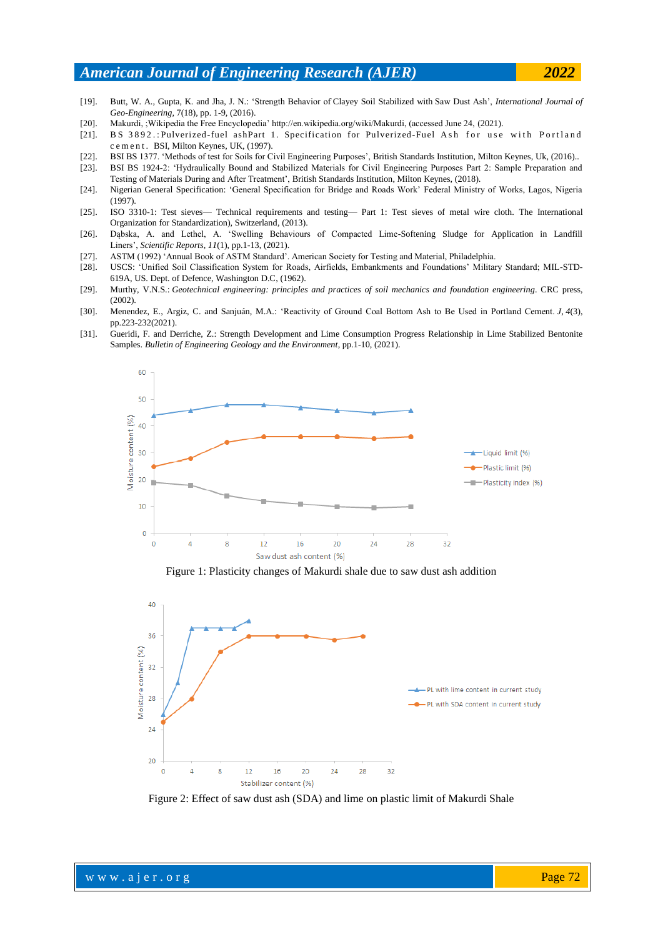### *American Journal of Engineering Research (AJER) 2022*

- [19]. Butt, W. A., Gupta, K. and Jha, J. N.: 'Strength Behavior of Clayey Soil Stabilized with Saw Dust Ash', *International Journal of Geo-Engineering*, 7(18), pp. 1-9, (2016).
- [20]. Makurdi, ;Wikipedia the Free Encyclopedia' http://en.wikipedia.org/wiki/Makurdi, (accessed June 24, (2021).
- [21]. BS 3892.: Pulverized-fuel ashPart 1. Specification for Pulverized-Fuel Ash for use with Portland c e m e n t . BSI, Milton Keynes, UK, (1997).
- [22]. BSI BS 1377. 'Methods of test for Soils for Civil Engineering Purposes', British Standards Institution, Milton Keynes, Uk, (2016)..
- [23]. BSI BS 1924-2: 'Hydraulically Bound and Stabilized Materials for Civil Engineering Purposes Part 2: Sample Preparation and Testing of Materials During and After Treatment', British Standards Institution, Milton Keynes, (2018).
- [24]. Nigerian General Specification: 'General Specification for Bridge and Roads Work' Federal Ministry of Works, Lagos, Nigeria (1997).
- [25]. ISO 3310-1: Test sieves— Technical requirements and testing— Part 1: Test sieves of metal wire cloth. The International Organization for Standardization), Switzerland, (2013).
- [26]. Dąbska, A. and Lethel, A. 'Swelling Behaviours of Compacted Lime-Softening Sludge for Application in Landfill Liners', *Scientific Reports*, *11*(1), pp.1-13, (2021).
- [27]. ASTM (1992) 'Annual Book of ASTM Standard'. American Society for Testing and Material, Philadelphia.
- [28]. USCS: 'Unified Soil Classification System for Roads, Airfields, Embankments and Foundations' Military Standard; MIL-STD-619A, US. Dept. of Defence, Washington D.C, (1962).
- [29]. Murthy, V.N.S.: *Geotechnical engineering: principles and practices of soil mechanics and foundation engineering*. CRC press, (2002).
- [30]. Menendez, E., Argiz, C. and Sanjuán, M.A.: 'Reactivity of Ground Coal Bottom Ash to Be Used in Portland Cement. *J*, *4*(3), pp.223-232(2021).
- [31]. Gueridi, F. and Derriche, Z.: Strength Development and Lime Consumption Progress Relationship in Lime Stabilized Bentonite Samples. *Bulletin of Engineering Geology and the Environment*, pp.1-10, (2021).



Figure 1: Plasticity changes of Makurdi shale due to saw dust ash addition



Figure 2: Effect of saw dust ash (SDA) and lime on plastic limit of Makurdi Shale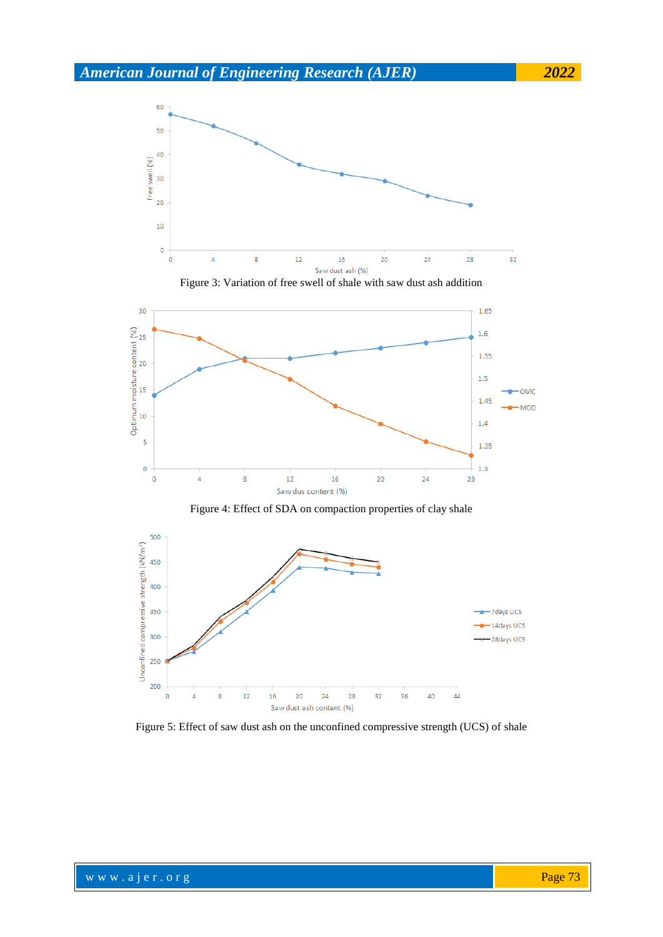







Figure 4: Effect of SDA on compaction properties of clay shale



Figure 5: Effect of saw dust ash on the unconfined compressive strength (UCS) of shale